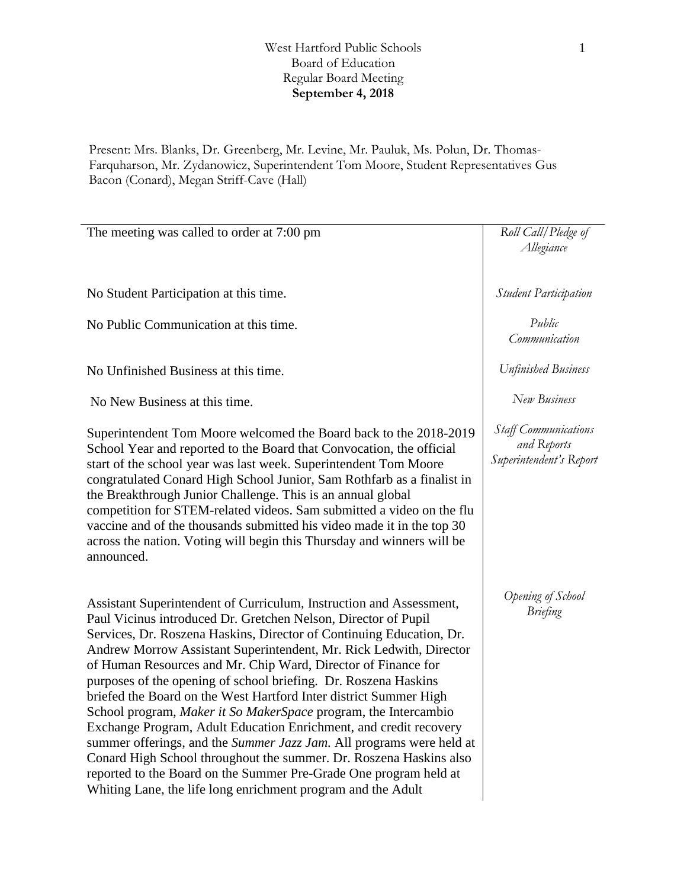## West Hartford Public Schools Board of Education Regular Board Meeting **September 4, 2018**

Present: Mrs. Blanks, Dr. Greenberg, Mr. Levine, Mr. Pauluk, Ms. Polun, Dr. Thomas-Farquharson, Mr. Zydanowicz, Superintendent Tom Moore, Student Representatives Gus Bacon (Conard), Megan Striff-Cave (Hall)

The meeting was called to order at 7:00 pm *Roll Call/Pledge of Allegiance* No Student Participation at this time. No Public Communication at this time. No Unfinished Business at this time. No New Business at this time. Superintendent Tom Moore welcomed the Board back to the 2018-2019 School Year and reported to the Board that Convocation, the official start of the school year was last week. Superintendent Tom Moore congratulated Conard High School Junior, Sam Rothfarb as a finalist in the Breakthrough Junior Challenge. This is an annual global competition for STEM-related videos. Sam submitted a video on the flu vaccine and of the thousands submitted his video made it in the top 30 across the nation. Voting will begin this Thursday and winners will be announced. Assistant Superintendent of Curriculum, Instruction and Assessment, Paul Vicinus introduced Dr. Gretchen Nelson, Director of Pupil Services, Dr. Roszena Haskins, Director of Continuing Education, Dr. Andrew Morrow Assistant Superintendent, Mr. Rick Ledwith, Director of Human Resources and Mr. Chip Ward, Director of Finance for purposes of the opening of school briefing. Dr. Roszena Haskins briefed the Board on the West Hartford Inter district Summer High School program, *Maker it So MakerSpace* program, the Intercambio Exchange Program, Adult Education Enrichment, and credit recovery summer offerings, and the *Summer Jazz Jam.* All programs were held at Conard High School throughout the summer. Dr. Roszena Haskins also reported to the Board on the Summer Pre-Grade One program held at Whiting Lane, the life long enrichment program and the Adult *Student Participation Public Communication Unfinished Business New Business Staff Communications and Reports Superintendent's Report Opening of School Briefing*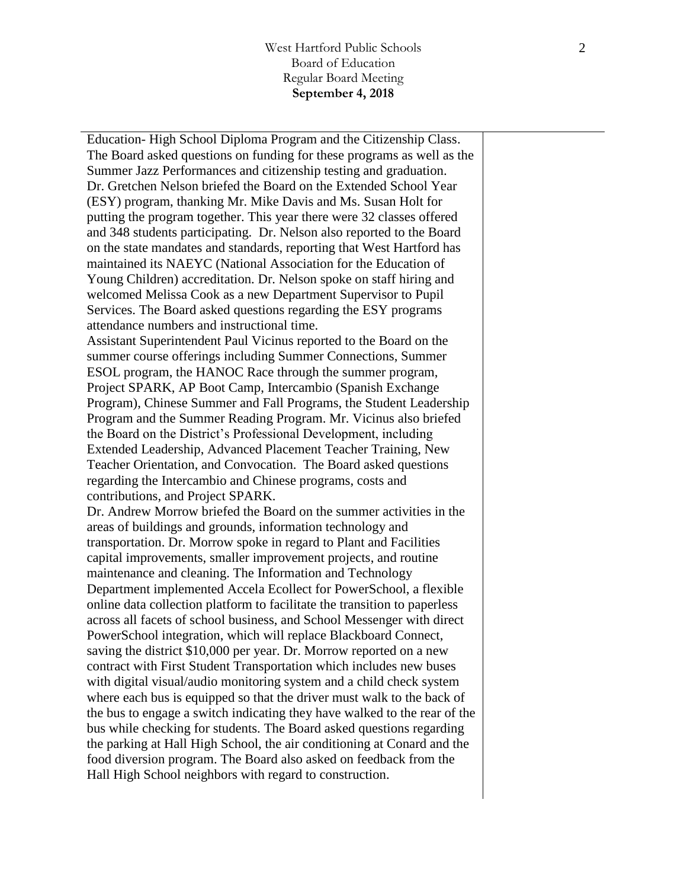Education- High School Diploma Program and the Citizenship Class. The Board asked questions on funding for these programs as well as the Summer Jazz Performances and citizenship testing and graduation. Dr. Gretchen Nelson briefed the Board on the Extended School Year (ESY) program, thanking Mr. Mike Davis and Ms. Susan Holt for putting the program together. This year there were 32 classes offered and 348 students participating. Dr. Nelson also reported to the Board on the state mandates and standards, reporting that West Hartford has maintained its NAEYC (National Association for the Education of Young Children) accreditation. Dr. Nelson spoke on staff hiring and welcomed Melissa Cook as a new Department Supervisor to Pupil Services. The Board asked questions regarding the ESY programs attendance numbers and instructional time.

Assistant Superintendent Paul Vicinus reported to the Board on the summer course offerings including Summer Connections, Summer ESOL program, the HANOC Race through the summer program, Project SPARK, AP Boot Camp, Intercambio (Spanish Exchange Program), Chinese Summer and Fall Programs, the Student Leadership Program and the Summer Reading Program. Mr. Vicinus also briefed the Board on the District's Professional Development, including Extended Leadership, Advanced Placement Teacher Training, New Teacher Orientation, and Convocation. The Board asked questions regarding the Intercambio and Chinese programs, costs and contributions, and Project SPARK.

Dr. Andrew Morrow briefed the Board on the summer activities in the areas of buildings and grounds, information technology and transportation. Dr. Morrow spoke in regard to Plant and Facilities capital improvements, smaller improvement projects, and routine maintenance and cleaning. The Information and Technology Department implemented Accela Ecollect for PowerSchool, a flexible online data collection platform to facilitate the transition to paperless across all facets of school business, and School Messenger with direct PowerSchool integration, which will replace Blackboard Connect, saving the district \$10,000 per year. Dr. Morrow reported on a new contract with First Student Transportation which includes new buses with digital visual/audio monitoring system and a child check system where each bus is equipped so that the driver must walk to the back of the bus to engage a switch indicating they have walked to the rear of the bus while checking for students. The Board asked questions regarding the parking at Hall High School, the air conditioning at Conard and the food diversion program. The Board also asked on feedback from the Hall High School neighbors with regard to construction.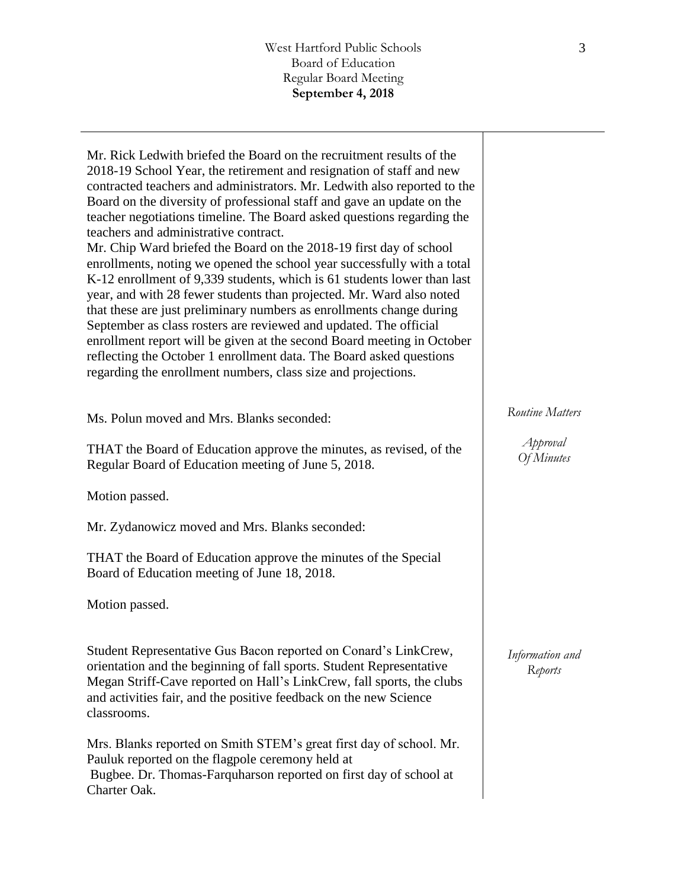Mr. Rick Ledwith briefed the Board on the recruitment results of the 2018-19 School Year, the retirement and resignation of staff and new contracted teachers and administrators. Mr. Ledwith also reported to the Board on the diversity of professional staff and gave an update on the teacher negotiations timeline. The Board asked questions regarding the teachers and administrative contract.

Mr. Chip Ward briefed the Board on the 2018-19 first day of school enrollments, noting we opened the school year successfully with a total K-12 enrollment of 9,339 students, which is 61 students lower than last year, and with 28 fewer students than projected. Mr. Ward also noted that these are just preliminary numbers as enrollments change during September as class rosters are reviewed and updated. The official enrollment report will be given at the second Board meeting in October reflecting the October 1 enrollment data. The Board asked questions regarding the enrollment numbers, class size and projections.

Ms. Polun moved and Mrs. Blanks seconded:

THAT the Board of Education approve the minutes, as revised, of the Regular Board of Education meeting of June 5, 2018.

Motion passed.

Mr. Zydanowicz moved and Mrs. Blanks seconded:

THAT the Board of Education approve the minutes of the Special Board of Education meeting of June 18, 2018.

Motion passed.

Student Representative Gus Bacon reported on Conard's LinkCrew, orientation and the beginning of fall sports. Student Representative Megan Striff-Cave reported on Hall's LinkCrew, fall sports, the clubs and activities fair, and the positive feedback on the new Science classrooms.

Mrs. Blanks reported on Smith STEM's great first day of school. Mr. Pauluk reported on the flagpole ceremony held at Bugbee. Dr. Thomas-Farquharson reported on first day of school at Charter Oak.

*Routine Matters*

*Approval Of Minutes*

*Information and Reports*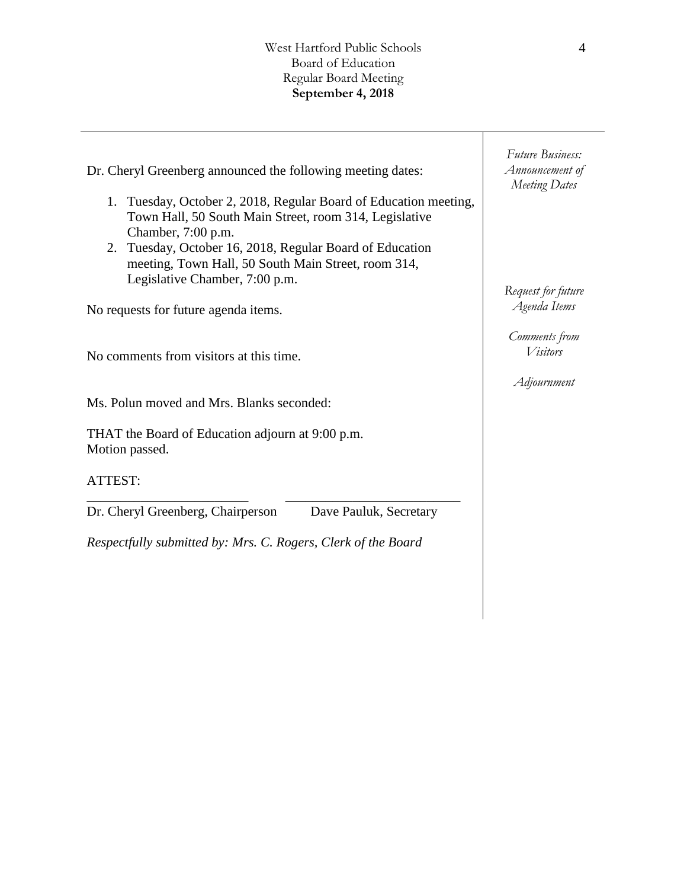| Dr. Cheryl Greenberg announced the following meeting dates:                  | <b>Future Business:</b><br>Announcement of<br><b>Meeting Dates</b> |
|------------------------------------------------------------------------------|--------------------------------------------------------------------|
| 1. Tuesday, October 2, 2018, Regular Board of Education meeting,             |                                                                    |
| Town Hall, 50 South Main Street, room 314, Legislative<br>Chamber, 7:00 p.m. |                                                                    |
| 2. Tuesday, October 16, 2018, Regular Board of Education                     |                                                                    |
| meeting, Town Hall, 50 South Main Street, room 314,                          |                                                                    |
| Legislative Chamber, 7:00 p.m.                                               | Request for future                                                 |
| No requests for future agenda items.                                         | Agenda Items                                                       |
| No comments from visitors at this time.                                      | Comments from<br><i>Visitors</i>                                   |
|                                                                              | Adjournment                                                        |
| Ms. Polun moved and Mrs. Blanks seconded:                                    |                                                                    |
| THAT the Board of Education adjourn at 9:00 p.m.<br>Motion passed.           |                                                                    |
| ATTEST:                                                                      |                                                                    |
| Dr. Cheryl Greenberg, Chairperson<br>Dave Pauluk, Secretary                  |                                                                    |
| Respectfully submitted by: Mrs. C. Rogers, Clerk of the Board                |                                                                    |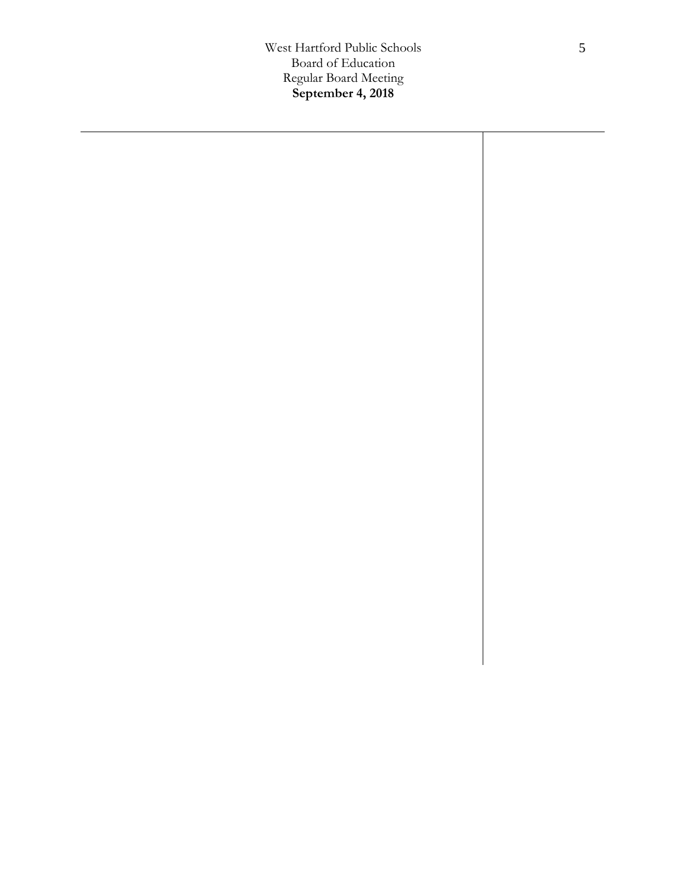